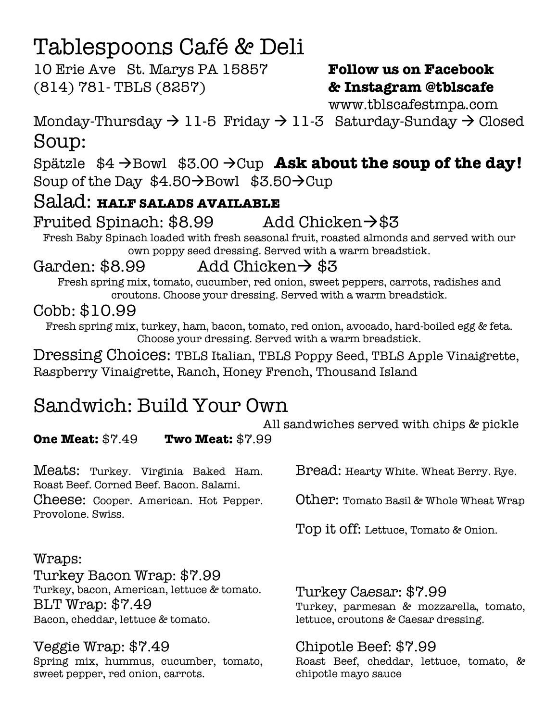# Tablespoons Café & Deli

10 Erie Ave St. Marys PA 15857 **Follow us on Facebook** (814) 781- TBLS (8257) **& Instagram @tblscafe**

www.tblscafestmpa.com

Monday-Thursday  $\rightarrow$  11-5 Friday  $\rightarrow$  11-3 Saturday-Sunday  $\rightarrow$  Closed Soup:

Spätzle \$4  $\rightarrow$  Bowl \$3.00  $\rightarrow$  Cup Ask about the soup of the day! Soup of the Day  $$4.50\rightarrow$ Bowl  $$3.50\rightarrow$ Cup

# Salad: **HALF SALADS AVAILABLE**

# Fruited Spinach:  $$8.99$  Add Chicken $\rightarrow$ \$3

Fresh Baby Spinach loaded with fresh seasonal fruit, roasted almonds and served with our own poppy seed dressing. Served with a warm breadstick.

## Garden:  $$8.99$  Add Chicken $\rightarrow$  \$3

Fresh spring mix, tomato, cucumber, red onion, sweet peppers, carrots, radishes and croutons. Choose your dressing. Served with a warm breadstick.

# Cobb: \$10.99

Fresh spring mix, turkey, ham, bacon, tomato, red onion, avocado, hard-boiled egg & feta. Choose your dressing. Served with a warm breadstick.

Dressing Choices: TBLS Italian, TBLS Poppy Seed, TBLS Apple Vinaigrette, Raspberry Vinaigrette, Ranch, Honey French, Thousand Island

# Sandwich: Build Your Own

All sandwiches served with chips & pickle

**One Meat:** \$7.49 **Two Meat:** \$7.99

Meats: Turkey. Virginia Baked Ham. Roast Beef. Corned Beef. Bacon. Salami.

Cheese: Cooper. American. Hot Pepper. Provolone. Swiss.

Bread: Hearty White. Wheat Berry. Rye.

Other: Tomato Basil & Whole Wheat Wrap

Top it off: Lettuce, Tomato & Onion.

Wraps: Turkey Bacon Wrap: \$7.99 Turkey, bacon, American, lettuce & tomato. BLT Wrap: \$7.49

Bacon, cheddar, lettuce & tomato.

### Veggie Wrap: \$7.49

Spring mix, hummus, cucumber, tomato, sweet pepper, red onion, carrots.

Turkey Caesar: \$7.99 Turkey, parmesan & mozzarella, tomato, lettuce, croutons & Caesar dressing.

# Chipotle Beef: \$7.99

Roast Beef, cheddar, lettuce, tomato, & chipotle mayo sauce